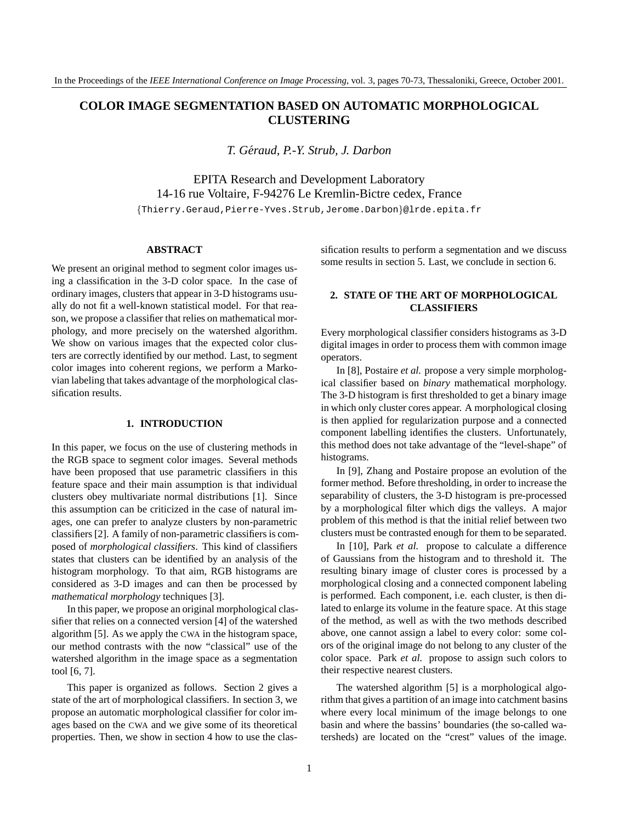# **COLOR IMAGE SEGMENTATION BASED ON AUTOMATIC MORPHOLOGICAL CLUSTERING**

*T. Geraud, P.-Y. Strub, J. Darbon ´*

EPITA Research and Development Laboratory 14-16 rue Voltaire, F-94276 Le Kremlin-Bictre cedex, France {Thierry.Geraud,Pierre-Yves.Strub,Jerome.Darbon}@lrde.epita.fr

#### **ABSTRACT**

We present an original method to segment color images using a classification in the 3-D color space. In the case of ordinary images, clusters that appear in 3-D histograms usually do not fit a well-known statistical model. For that reason, we propose a classifier that relies on mathematical morphology, and more precisely on the watershed algorithm. We show on various images that the expected color clusters are correctly identified by our method. Last, to segment color images into coherent regions, we perform a Markovian labeling that takes advantage of the morphological classification results.

### **1. INTRODUCTION**

In this paper, we focus on the use of clustering methods in the RGB space to segment color images. Several methods have been proposed that use parametric classifiers in this feature space and their main assumption is that individual clusters obey multivariate normal distributions [1]. Since this assumption can be criticized in the case of natural images, one can prefer to analyze clusters by non-parametric classifiers [2]. A family of non-parametric classifiers is composed of *morphological classifiers*. This kind of classifiers states that clusters can be identified by an analysis of the histogram morphology. To that aim, RGB histograms are considered as 3-D images and can then be processed by *mathematical morphology* techniques [3].

In this paper, we propose an original morphological classifier that relies on a connected version [4] of the watershed algorithm [5]. As we apply the CWA in the histogram space, our method contrasts with the now "classical" use of the watershed algorithm in the image space as a segmentation tool [6, 7].

This paper is organized as follows. Section 2 gives a state of the art of morphological classifiers. In section 3, we propose an automatic morphological classifier for color images based on the CWA and we give some of its theoretical properties. Then, we show in section 4 how to use the classification results to perform a segmentation and we discuss some results in section 5. Last, we conclude in section 6.

## **2. STATE OF THE ART OF MORPHOLOGICAL CLASSIFIERS**

Every morphological classifier considers histograms as 3-D digital images in order to process them with common image operators.

In [8], Postaire *et al.* propose a very simple morphological classifier based on *binary* mathematical morphology. The 3-D histogram is first thresholded to get a binary image in which only cluster cores appear. A morphological closing is then applied for regularization purpose and a connected component labelling identifies the clusters. Unfortunately, this method does not take advantage of the "level-shape" of histograms.

In [9], Zhang and Postaire propose an evolution of the former method. Before thresholding, in order to increase the separability of clusters, the 3-D histogram is pre-processed by a morphological filter which digs the valleys. A major problem of this method is that the initial relief between two clusters must be contrasted enough for them to be separated.

In [10], Park *et al.* propose to calculate a difference of Gaussians from the histogram and to threshold it. The resulting binary image of cluster cores is processed by a morphological closing and a connected component labeling is performed. Each component, i.e. each cluster, is then dilated to enlarge its volume in the feature space. At this stage of the method, as well as with the two methods described above, one cannot assign a label to every color: some colors of the original image do not belong to any cluster of the color space. Park *et al.* propose to assign such colors to their respective nearest clusters.

The watershed algorithm [5] is a morphological algorithm that gives a partition of an image into catchment basins where every local minimum of the image belongs to one basin and where the bassins' boundaries (the so-called watersheds) are located on the "crest" values of the image.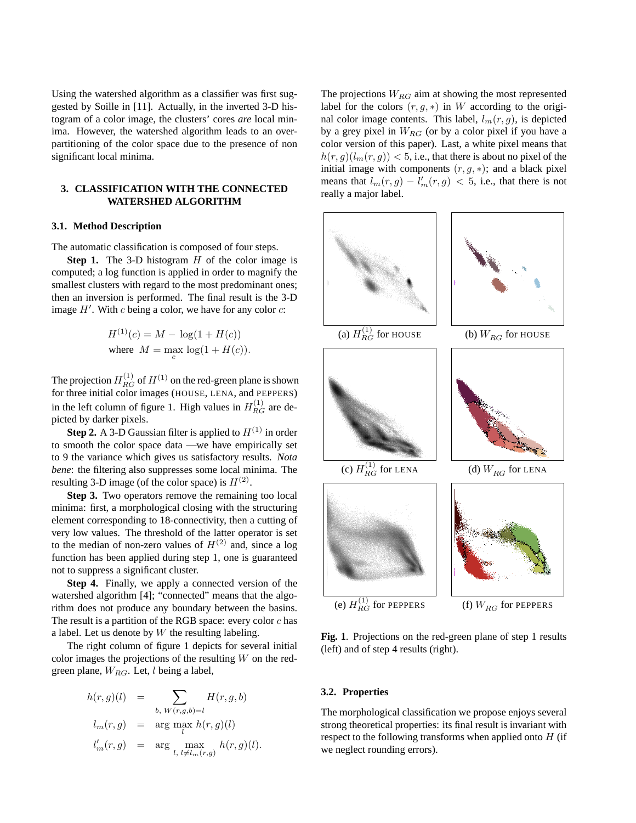Using the watershed algorithm as a classifier was first suggested by Soille in [11]. Actually, in the inverted 3-D histogram of a color image, the clusters' cores *are* local minima. However, the watershed algorithm leads to an overpartitioning of the color space due to the presence of non significant local minima.

### **3. CLASSIFICATION WITH THE CONNECTED WATERSHED ALGORITHM**

### **3.1. Method Description**

The automatic classification is composed of four steps.

**Step 1.** The 3-D histogram H of the color image is computed; a log function is applied in order to magnify the smallest clusters with regard to the most predominant ones; then an inversion is performed. The final result is the 3-D image  $H'$ . With c being a color, we have for any color  $c$ :

$$
H^{(1)}(c) = M - \log(1 + H(c))
$$
  
where  $M = \max_{c} \log(1 + H(c)).$ 

The projection  $H_{RG}^{(1)}$  of  $H^{(1)}$  on the red-green plane is shown for three initial color images (HOUSE, LENA, and PEPPERS) in the left column of figure 1. High values in  $H_{RG}^{(1)}$  are depicted by darker pixels.

**Step 2.** A 3-D Gaussian filter is applied to  $H^{(1)}$  in order to smooth the color space data —we have empirically set to 9 the variance which gives us satisfactory results. *Nota bene*: the filtering also suppresses some local minima. The resulting 3-D image (of the color space) is  $H^{(2)}$ .

**Step 3.** Two operators remove the remaining too local minima: first, a morphological closing with the structuring element corresponding to 18-connectivity, then a cutting of very low values. The threshold of the latter operator is set to the median of non-zero values of  $H^{(2)}$  and, since a log function has been applied during step 1, one is guaranteed not to suppress a significant cluster.

**Step 4.** Finally, we apply a connected version of the watershed algorithm [4]; "connected" means that the algorithm does not produce any boundary between the basins. The result is a partition of the RGB space: every color  $c$  has a label. Let us denote by  $W$  the resulting labeling.

The right column of figure 1 depicts for several initial color images the projections of the resulting  $W$  on the redgreen plane,  $W_{RG}$ . Let, *l* being a label,

$$
h(r,g)(l) = \sum_{b, W(r,g,b)=l} H(r,g,b)
$$
  
\n
$$
l_m(r,g) = \arg \max_{l} h(r,g)(l)
$$
  
\n
$$
l'_m(r,g) = \arg \max_{l, l \neq l_m(r,g)} h(r,g)(l).
$$

The projections  $W_{RG}$  aim at showing the most represented label for the colors  $(r, g, *)$  in W according to the original color image contents. This label,  $l_m(r, g)$ , is depicted by a grey pixel in  $W_{RG}$  (or by a color pixel if you have a color version of this paper). Last, a white pixel means that  $h(r, g)(l_m(r, g)) < 5$ , i.e., that there is about no pixel of the initial image with components  $(r, g, *)$ ; and a black pixel means that  $l_m(r, g) - l'_m(r, g) < 5$ , i.e., that there is not really a major label.



**Fig. 1**. Projections on the red-green plane of step 1 results (left) and of step 4 results (right).

### **3.2. Properties**

The morphological classification we propose enjoys several strong theoretical properties: its final result is invariant with respect to the following transforms when applied onto  $H$  (if we neglect rounding errors).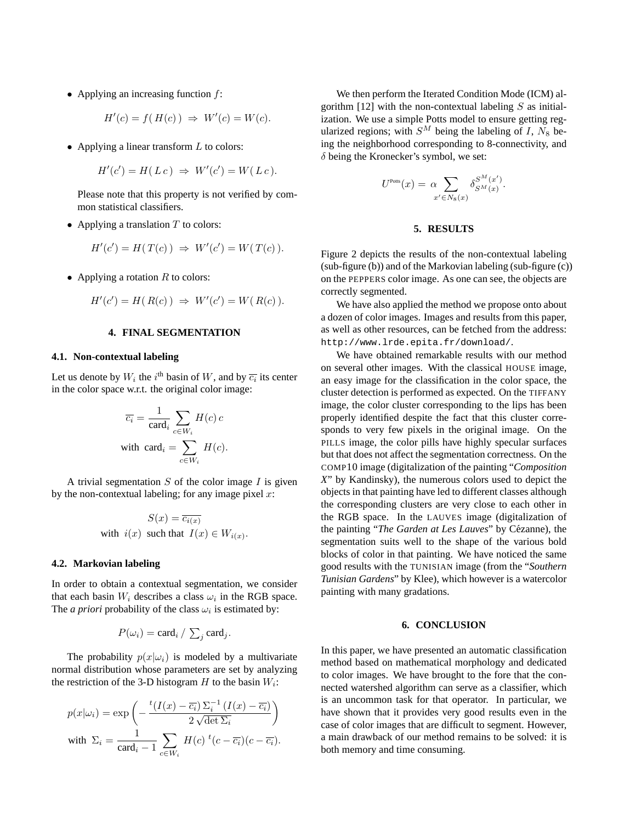• Applying an increasing function  $f$ :

$$
H'(c) = f(H(c)) \Rightarrow W'(c) = W(c).
$$

• Applying a linear transform  $L$  to colors:

$$
H'(c') = H(Lc) \Rightarrow W'(c') = W(Lc).
$$

Please note that this property is not verified by common statistical classifiers.

• Applying a translation  $T$  to colors:

$$
H'(c') = H(T(c)) \implies W'(c') = W(T(c)).
$$

• Applying a rotation  $R$  to colors:

$$
H'(c') = H(R(c)) \implies W'(c') = W(R(c)).
$$

### **4. FINAL SEGMENTATION**

### **4.1. Non-contextual labeling**

Let us denote by  $W_i$  the  $i^{\text{th}}$  basin of W, and by  $\overline{c_i}$  its center in the color space w.r.t. the original color image:

$$
\overline{c_i} = \frac{1}{\text{card}_i} \sum_{c \in W_i} H(c) c
$$
  
with 
$$
\text{card}_i = \sum_{c \in W_i} H(c).
$$

A trivial segmentation  $S$  of the color image  $I$  is given by the non-contextual labeling; for any image pixel  $x$ :

$$
S(x) = \overline{c_{i(x)}}
$$
  
with  $i(x)$  such that  $I(x) \in W_{i(x)}$ .

### **4.2. Markovian labeling**

In order to obtain a contextual segmentation, we consider that each basin  $W_i$  describes a class  $\omega_i$  in the RGB space. The *a priori* probability of the class  $\omega_i$  is estimated by:

$$
P(\omega_i) = \text{card}_i / \sum_j \text{card}_j.
$$

The probability  $p(x|\omega_i)$  is modeled by a multivariate normal distribution whose parameters are set by analyzing the restriction of the 3-D histogram  $H$  to the basin  $W_i$ :

$$
p(x|\omega_i) = \exp\left(-\frac{{}^{t}(I(x) - \overline{c_i})\,\Sigma_i^{-1}\,(I(x) - \overline{c_i})}{2\sqrt{\det\Sigma_i}}\right)
$$
  
with 
$$
\Sigma_i = \frac{1}{\text{card}_i - 1}\sum_{c \in W_i} H(c)\,{}^{t}(c - \overline{c_i})(c - \overline{c_i}).
$$

We then perform the Iterated Condition Mode (ICM) algorithm  $[12]$  with the non-contextual labeling S as initialization. We use a simple Potts model to ensure getting regularized regions; with  $S^M$  being the labeling of I,  $N_8$  being the neighborhood corresponding to 8-connectivity, and  $\delta$  being the Kronecker's symbol, we set:

$$
U^{\text{Potts}}(x) = \alpha \sum_{x' \in N_8(x)} \delta_{S^M(x)}^{S^M(x')}.
$$

### **5. RESULTS**

Figure 2 depicts the results of the non-contextual labeling (sub-figure (b)) and of the Markovian labeling (sub-figure (c)) on the PEPPERS color image. As one can see, the objects are correctly segmented.

We have also applied the method we propose onto about a dozen of color images. Images and results from this paper, as well as other resources, can be fetched from the address: http://www.lrde.epita.fr/download/.

We have obtained remarkable results with our method on several other images. With the classical HOUSE image, an easy image for the classification in the color space, the cluster detection is performed as expected. On the TIFFANY image, the color cluster corresponding to the lips has been properly identified despite the fact that this cluster corresponds to very few pixels in the original image. On the PILLS image, the color pills have highly specular surfaces but that does not affect the segmentation correctness. On the COMP10 image (digitalization of the painting "*Composition X*" by Kandinsky), the numerous colors used to depict the objects in that painting have led to different classes although the corresponding clusters are very close to each other in the RGB space. In the LAUVES image (digitalization of the painting "*The Garden at Les Lauves*" by Cézanne), the segmentation suits well to the shape of the various bold blocks of color in that painting. We have noticed the same good results with the TUNISIAN image (from the "*Southern Tunisian Gardens*" by Klee), which however is a watercolor painting with many gradations.

### **6. CONCLUSION**

In this paper, we have presented an automatic classification method based on mathematical morphology and dedicated to color images. We have brought to the fore that the connected watershed algorithm can serve as a classifier, which is an uncommon task for that operator. In particular, we have shown that it provides very good results even in the case of color images that are difficult to segment. However, a main drawback of our method remains to be solved: it is both memory and time consuming.